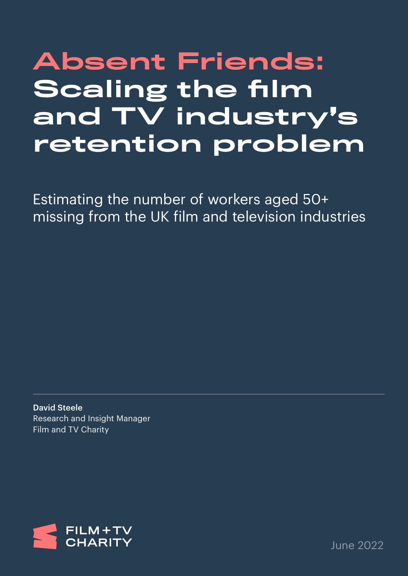# Absent Friends: Scaling the film and TV industry's retention problem

Estimating the number of workers aged 50+ missing from the UK film and television industries

David Steele Research and Insight Manager Film and TV Charity



June 2022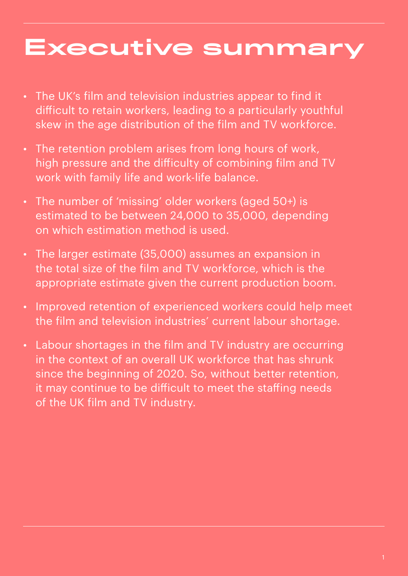## Executive summary

- The UK's film and television industries appear to find it difficult to retain workers, leading to a particularly youthful skew in the age distribution of the film and TV workforce.
- The retention problem arises from long hours of work, high pressure and the difficulty of combining film and TV work with family life and work-life balance.
- The number of 'missing' older workers (aged 50+) is estimated to be between 24,000 to 35,000, depending on which estimation method is used.
- The larger estimate (35,000) assumes an expansion in the total size of the film and TV workforce, which is the appropriate estimate given the current production boom.
- Improved retention of experienced workers could help meet the film and television industries' current labour shortage.
- Labour shortages in the film and TV industry are occurring in the context of an overall UK workforce that has shrunk since the beginning of 2020. So, without better retention, it may continue to be difficult to meet the staffing needs of the UK film and TV industry.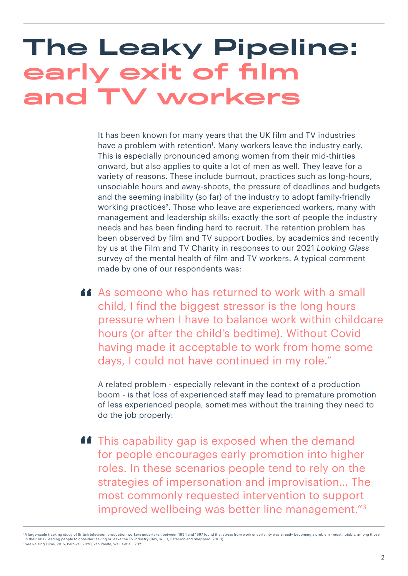## The Leaky Pipeline: early exit of film and TV workers

It has been known for many years that the UK film and TV industries have a problem with retention<sup>1</sup>. Many workers leave the industry early. This is especially pronounced among women from their mid-thirties onward, but also applies to quite a lot of men as well. They leave for a variety of reasons. These include burnout, practices such as long-hours, unsociable hours and away-shoots, the pressure of deadlines and budgets and the seeming inability (so far) of the industry to adopt family-friendly working practices<sup>2</sup>. Those who leave are experienced workers, many with management and leadership skills: exactly the sort of people the industry needs and has been finding hard to recruit. The retention problem has been observed by film and TV support bodies, by academics and recently by us at the Film and TV Charity in responses to our 2021 *Looking Glass* survey of the mental health of film and TV workers. A typical comment made by one of our respondents was:

As someone who has returned to work with a small<br>child I find the biggest stresser is the leng bours child, I find the biggest stressor is the long hours pressure when I have to balance work within childcare hours (or after the child's bedtime). Without Covid having made it acceptable to work from home some days, I could not have continued in my role."

A related problem - especially relevant in the context of a production boom - is that loss of experienced staff may lead to premature promotion of less experienced people, sometimes without the training they need to do the job properly:

**11** This capability gap is exposed when the demand for people encourages early promotion into higher roles. In these scenarios people tend to rely on the strategies of impersonation and improvisation… The most commonly requested intervention to support improved wellbeing was better line management."3

<sup>1</sup> A large-scale tracking study of British television production workers undertaken between 1994 and 1997 found that stress from work uncertainty was already becoming a problem - most notably, among those in their 40s - leading people to consider leaving or leave the TV industry (Dex, Willis, Paterson and Sheppard, 2000). 2 See Raising Films, 2015; Percival, 2020; van Raalte, Wallis et al., 2021.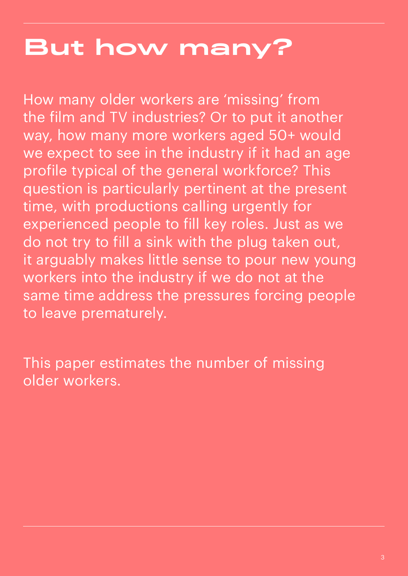# But how many?

How many older workers are 'missing' from the film and TV industries? Or to put it another way, how many more workers aged 50+ would we expect to see in the industry if it had an age profile typical of the general workforce? This question is particularly pertinent at the present time, with productions calling urgently for experienced people to fill key roles. Just as we do not try to fill a sink with the plug taken out, it arguably makes little sense to pour new young workers into the industry if we do not at the same time address the pressures forcing people to leave prematurely.

This paper estimates the number of missing older workers.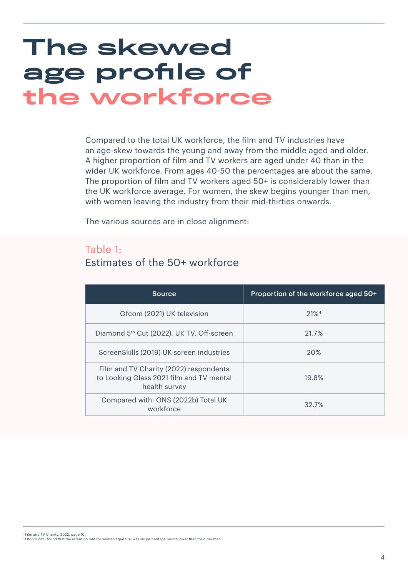## The skewed age profile of the workforce

Compared to the total UK workforce, the film and TV industries have an age-skew towards the young and away from the middle aged and older. A higher proportion of film and TV workers are aged under 40 than in the wider UK workforce. From ages 40-50 the percentages are about the same. The proportion of film and TV workers aged 50+ is considerably lower than the UK workforce average. For women, the skew begins younger than men, with women leaving the industry from their mid-thirties onwards.

The various sources are in close alignment:

#### Table 1: Estimates of the 50+ workforce

| Source                                                                                              | Proportion of the workforce aged 50+ |
|-----------------------------------------------------------------------------------------------------|--------------------------------------|
| Ofcom (2021) UK television                                                                          | $21\%4$                              |
| Diamond 5th Cut (2022), UK TV, Off-screen                                                           | 21.7%                                |
| ScreenSkills (2019) UK screen industries                                                            | 20%                                  |
| Film and TV Charity (2022) respondents<br>to Looking Glass 2021 film and TV mental<br>health survey | 19.8%                                |
| Compared with: ONS (2022b) Total UK<br>workforce                                                    | 32.7%                                |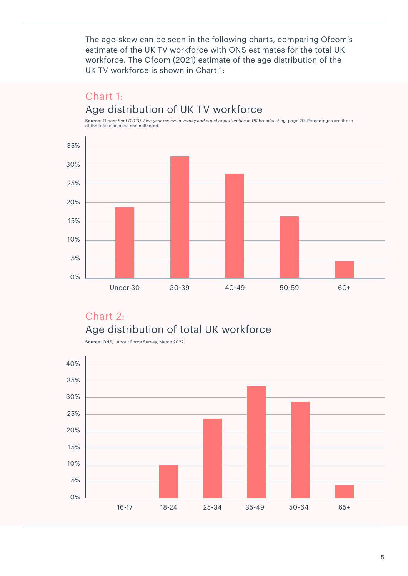The age-skew can be seen in the following charts, comparing Ofcom's estimate of the UK TV workforce with ONS estimates for the total UK workforce. The Ofcom (2021) estimate of the age distribution of the UK TV workforce is shown in Chart 1:

### Chart 1: Age distribution of UK TV workforce

Source: *Ofcom Sept (2021), Five-year review: diversity and equal opportunities in UK broadcasting,* page 29. Percentages are those of the total disclosed and collected.



### Chart 2: Age distribution of total UK workforce



Source: ONS, Labour Force Survey, March 2022.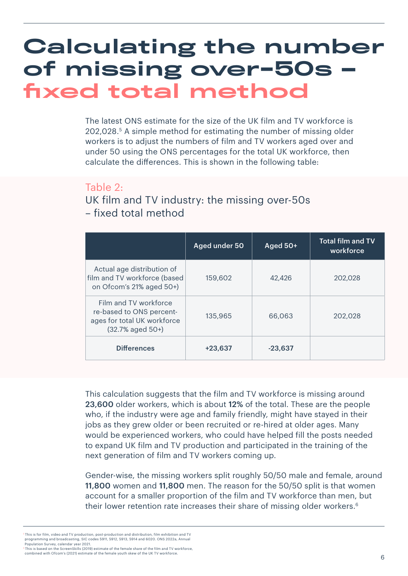### Calculating the number of missing over-50s – fixed total method

The latest ONS estimate for the size of the UK film and TV workforce is 202,028.5 A simple method for estimating the number of missing older workers is to adjust the numbers of film and TV workers aged over and under 50 using the ONS percentages for the total UK workforce, then calculate the differences. This is shown in the following table:

#### Table 2:

UK film and TV industry: the missing over-50s – fixed total method

|                                                                                                          | Aged under 50 | Aged 50+  | <b>Total film and TV</b><br>workforce |
|----------------------------------------------------------------------------------------------------------|---------------|-----------|---------------------------------------|
| Actual age distribution of<br>film and TV workforce (based<br>on Ofcom's 21% aged 50+)                   | 159,602       | 42,426    | 202,028                               |
| Film and TV workforce<br>re-based to ONS percent-<br>ages for total UK workforce<br>$(32.7%$ aged $50+)$ | 135,965       | 66,063    | 202,028                               |
| <b>Differences</b>                                                                                       | $+23.637$     | $-23.637$ |                                       |

This calculation suggests that the film and TV workforce is missing around 23,600 older workers, which is about 12% of the total. These are the people who, if the industry were age and family friendly, might have stayed in their jobs as they grew older or been recruited or re-hired at older ages. Many would be experienced workers, who could have helped fill the posts needed to expand UK film and TV production and participated in the training of the next generation of film and TV workers coming up.

Gender-wise, the missing workers split roughly 50/50 male and female, around 11,800 women and 11,800 men. The reason for the 50/50 split is that women account for a smaller proportion of the film and TV workforce than men, but their lower retention rate increases their share of missing older workers.<sup>6</sup>

 $^{\circ}$ This is for film, video and TV production, post-production and distribution, film exhibition and TV programming and broadcasting, SIC codes 5911, 5912, 5913, 5914 and 6020. ONS 2022a, Annual Population Survey, calendar year 2021.

<sup>6</sup> This is based on the ScreenSkills (2019) estimate of the female share of the film and TV workforce, combined with Ofcom's (2021) estimate of the female youth skew of the UK TV workforce.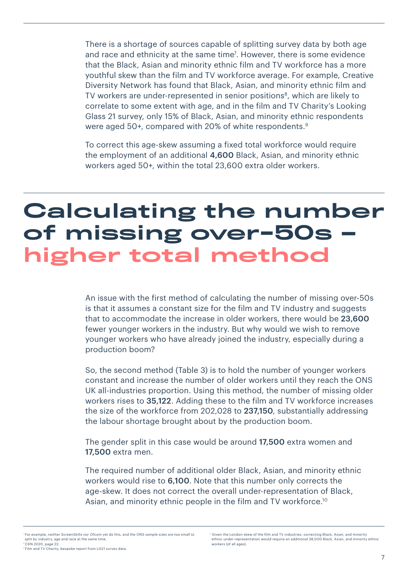There is a shortage of sources capable of splitting survey data by both age and race and ethnicity at the same time<sup>7</sup>. However, there is some evidence that the Black, Asian and minority ethnic film and TV workforce has a more youthful skew than the film and TV workforce average. For example, Creative Diversity Network has found that Black, Asian, and minority ethnic film and TV workers are under-represented in senior positions<sup>8</sup>, which are likely to correlate to some extent with age, and in the film and TV Charity's Looking Glass 21 survey, only 15% of Black, Asian, and minority ethnic respondents were aged 50+, compared with 20% of white respondents.<sup>9</sup>

To correct this age-skew assuming a fixed total workforce would require the employment of an additional 4,600 Black, Asian, and minority ethnic workers aged 50+, within the total 23,600 extra older workers.

### Calculating the number of missing over-50s – higher total method

An issue with the first method of calculating the number of missing over-50s is that it assumes a constant size for the film and TV industry and suggests that to accommodate the increase in older workers, there would be 23,600 fewer younger workers in the industry. But why would we wish to remove younger workers who have already joined the industry, especially during a production boom?

So, the second method (Table 3) is to hold the number of younger workers constant and increase the number of older workers until they reach the ONS UK all-industries proportion. Using this method, the number of missing older workers rises to 35,122. Adding these to the film and TV workforce increases the size of the workforce from 202,028 to 237,150, substantially addressing the labour shortage brought about by the production boom.

The gender split in this case would be around 17,500 extra women and 17,500 extra men.

The required number of additional older Black, Asian, and minority ethnic workers would rise to 6,100. Note that this number only corrects the age-skew. It does not correct the overall under-representation of Black, Asian, and minority ethnic people in the film and TV workforce.<sup>10</sup>

 $^7$  For example, neither ScreenSkills nor Ofcom vet do this, and the ONS sample sizes are too small to split by industry, age and race at the same time. 8 CDN 2020, page 22.

<sup>9</sup> Film and TV Charity, bespoke report from LG21 survey data.

<sup>&</sup>lt;sup>0</sup> Given the London-skew of the film and TV industries, correcting Black, Asian, and minority ethnic under-representation would require an additional 38,000 Black, Asian, and minority ethnic workers (of all ages).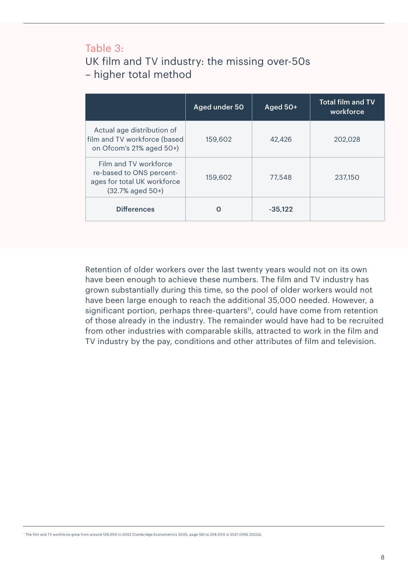### Table 3: UK film and TV industry: the missing over-50s – higher total method

|                                                                                                          | Aged under 50 | Aged 50+  | <b>Total film and TV</b><br>workforce |
|----------------------------------------------------------------------------------------------------------|---------------|-----------|---------------------------------------|
| Actual age distribution of<br>film and TV workforce (based<br>on Ofcom's 21% aged 50+)                   | 159,602       | 42,426    | 202,028                               |
| Film and TV workforce<br>re-based to ONS percent-<br>ages for total UK workforce<br>$(32.7%$ aged $50+)$ | 159,602       | 77,548    | 237.150                               |
| <b>Differences</b>                                                                                       |               | $-35.122$ |                                       |

Retention of older workers over the last twenty years would not on its own have been enough to achieve these numbers. The film and TV industry has grown substantially during this time, so the pool of older workers would not have been large enough to reach the additional 35,000 needed. However, a significant portion, perhaps three-quarters<sup>11</sup>, could have come from retention of those already in the industry. The remainder would have had to be recruited from other industries with comparable skills, attracted to work in the film and TV industry by the pay, conditions and other attributes of film and television.

11 The film and TV workforce grew from around 129,000 in 2002 (Cambridge Econometrics 2005, page 56) to 208,000 in 2021 (ONS 2022a).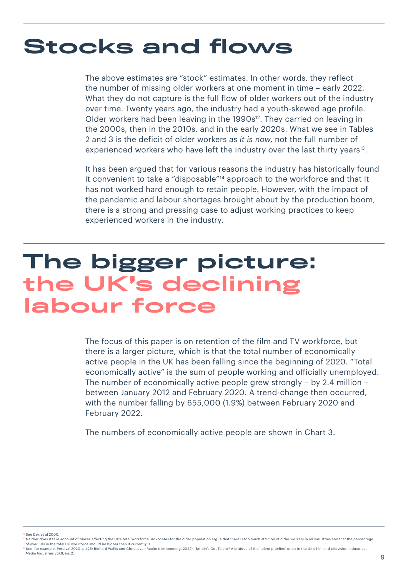### Stocks and flows

The above estimates are "stock" estimates. In other words, they reflect the number of missing older workers at one moment in time – early 2022. What they do not capture is the full flow of older workers out of the industry over time. Twenty years ago, the industry had a youth-skewed age profile. Older workers had been leaving in the 1990s<sup>12</sup>. They carried on leaving in the 2000s, then in the 2010s, and in the early 2020s. What we see in Tables 2 and 3 is the deficit of older workers *as it is now*, not the full number of experienced workers who have left the industry over the last thirty years<sup>13</sup>.

It has been argued that for various reasons the industry has historically found it convenient to take a "disposable"14 approach to the workforce and that it has not worked hard enough to retain people. However, with the impact of the pandemic and labour shortages brought about by the production boom, there is a strong and pressing case to adjust working practices to keep experienced workers in the industry.

### The bigger picture: the UK's declining labour force

The focus of this paper is on retention of the film and TV workforce, but there is a larger picture, which is that the total number of economically active people in the UK has been falling since the beginning of 2020. "Total economically active" is the sum of people working and officially unemployed. The number of economically active people grew strongly – by 2.4 million – between January 2012 and February 2020. A trend-change then occurred, with the number falling by 655,000 (1.9%) between February 2020 and February 2022.

The numbers of economically active people are shown in Chart 3.

See Dex et al 2000.

<sup>&</sup>lt;sup>1</sup> Neither does it take account of biases affecting the UK's total workforce. Advocates for the older population argue that there is too much attrition of older workers in all industries and that the percentage of over 50s in the total UK workforce should be higher than it currently is.

<sup>14</sup> See, for example, Percival 2020, p 425; Richard Wallis and Christa van Raalte (forthcoming, 2022), 'Britain's Got Talent? A critique of the 'talent pipeline' crisis in the UK's film and television industries', *Media Industries* vol.8, iss.2.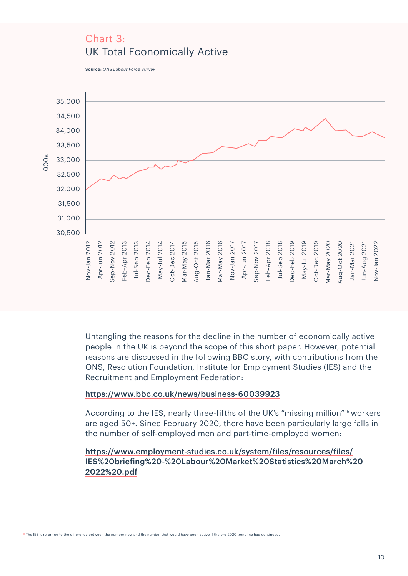#### Chart 3: UK Total Economically Active

Source: *ONS Labour Force Survey*



Untangling the reasons for the decline in the number of economically active people in the UK is beyond the scope of this short paper. However, potential reasons are discussed in the following BBC story, with contributions from the ONS, Resolution Foundation, Institute for Employment Studies (IES) and the Recruitment and Employment Federation:

#### <https://www.bbc.co.uk/news/business-60039923>

According to the IES, nearly three-fifths of the UK's "missing million"15 workers are aged 50+. Since February 2020, there have been particularly large falls in the number of self-employed men and part-time-employed women:

#### [https://www.employment-studies.co.uk/system/files/resources/files/](https://www.employment-studies.co.uk/system/files/resources/files/IES%20briefing%20-%20Labour%20Market%20Statistics%20March%202022%20.pdf) [IES%20briefing%20-%20Labour%20Market%20Statistics%20March%20](https://www.employment-studies.co.uk/system/files/resources/files/IES%20briefing%20-%20Labour%20Market%20Statistics%20March%202022%20.pdf) [2022%20.pdf](https://www.employment-studies.co.uk/system/files/resources/files/IES%20briefing%20-%20Labour%20Market%20Statistics%20March%202022%20.pdf)

<sup>15</sup> The IES is referring to the difference between the number now and the number that would have been active if the pre-2020 trendline had continued.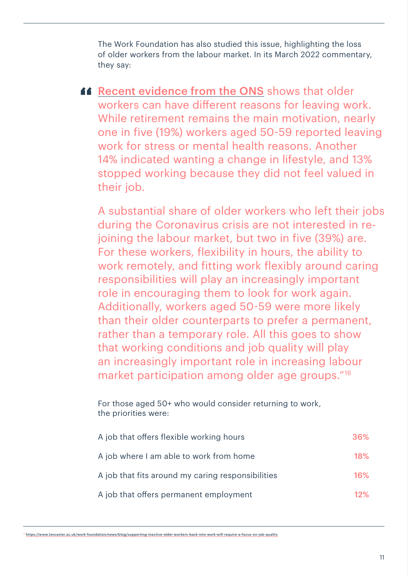The Work Foundation has also studied this issue, highlighting the loss of older workers from the labour market. In its March 2022 commentary, they say:

**[Recent evidence from the ONS](https://www.ons.gov.uk/employmentandlabourmarket/peopleinwork/employmentandemployeetypes/articles/reasonsforworkersagedover50yearsleavingemploymentsincethestartofthecoronaviruspandemic/2022-03-14)** shows that older workers can have different reasons for leaving work. While retirement remains the main motivation, nearly one in five (19%) workers aged 50-59 reported leaving work for stress or mental health reasons. Another 14% indicated wanting a change in lifestyle, and 13% stopped working because they did not feel valued in their job.

A substantial share of older workers who left their jobs during the Coronavirus crisis are not interested in rejoining the labour market, but two in five (39%) are. For these workers, flexibility in hours, the ability to work remotely, and fitting work flexibly around caring responsibilities will play an increasingly important role in encouraging them to look for work again. Additionally, workers aged 50-59 were more likely than their older counterparts to prefer a permanent, rather than a temporary role. All this goes to show that working conditions and job quality will play an increasingly important role in increasing labour market participation among older age groups."16

For those aged 50+ who would consider returning to work, the priorities were:

| A job that offers flexible working hours          | 36%    |
|---------------------------------------------------|--------|
| A job where I am able to work from home           | 18%    |
| A job that fits around my caring responsibilities | 16%    |
| A job that offers permanent employment            | $12\%$ |

<sup>16</sup> <https://www.lancaster.ac.uk/work-foundation/news/blog/supporting-inactive-older-workers-back-into-work-will-require-a-focus-on-job-quality>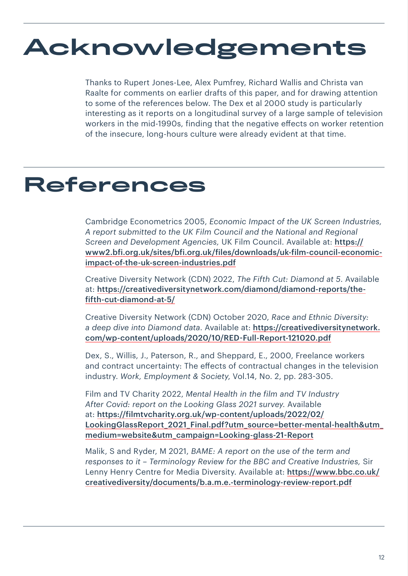# Acknowledgements

Thanks to Rupert Jones-Lee, Alex Pumfrey, Richard Wallis and Christa van Raalte for comments on earlier drafts of this paper, and for drawing attention to some of the references below. The Dex et al 2000 study is particularly interesting as it reports on a longitudinal survey of a large sample of television workers in the mid-1990s, finding that the negative effects on worker retention of the insecure, long-hours culture were already evident at that time.

### References

Cambridge Econometrics 2005, *Economic Impact of the UK Screen Industries, A report submitted to the UK Film Council and the National and Regional Screen and Development Agencies,* UK Film Council. Available at: [https://](https://www2.bfi.org.uk/sites/bfi.org.uk/files/downloads/uk-film-council-economic-impact-of-the-uk-screen-industries.pdf) [www2.bfi.org.uk/sites/bfi.org.uk/files/downloads/uk-film-council-economic](https://www2.bfi.org.uk/sites/bfi.org.uk/files/downloads/uk-film-council-economic-impact-of-the-uk-screen-industries.pdf)[impact-of-the-uk-screen-industries.pdf](https://www2.bfi.org.uk/sites/bfi.org.uk/files/downloads/uk-film-council-economic-impact-of-the-uk-screen-industries.pdf)

Creative Diversity Network (CDN) 2022, *The Fifth Cut: Diamond at 5*. Available at: [https://creativediversitynetwork.com/diamond/diamond-reports/the](https://creativediversitynetwork.com/diamond/diamond-reports/the-fifth-cut-diamond-at-5/)[fifth-cut-diamond-at-5/](https://creativediversitynetwork.com/diamond/diamond-reports/the-fifth-cut-diamond-at-5/)

Creative Diversity Network (CDN) October 2020, *Race and Ethnic Diversity: a deep dive into Diamond data*. Available at: [https://creativediversitynetwork.](https://creativediversitynetwork.com/wp-content/uploads/2020/10/RED-Full-Report-121020.pdf) [com/wp-content/uploads/2020/10/RED-Full-Report-121020.pdf](https://creativediversitynetwork.com/wp-content/uploads/2020/10/RED-Full-Report-121020.pdf)

Dex, S., Willis, J., Paterson, R., and Sheppard, E., 2000, Freelance workers and contract uncertainty: The effects of contractual changes in the television industry. *Work, Employment & Society*, Vol.14, No. 2, pp. 283-305.

Film and TV Charity 2022, *Mental Health in the film and TV Industry After Covid: report on the Looking Glass 2021 survey*. Available at: [https://filmtvcharity.org.uk/wp-content/uploads/2022/02/](https://filmtvcharity.org.uk/wp-content/uploads/2022/02/LookingGlassReport_2021_Final.pdf?utm_source=better-mental-health&utm_medium=website&utm_campaign=Looking-glass-21-Report) LookingGlassReport 2021 Final.pdf?utm\_source=better-mental-health&utm [medium=website&utm\\_campaign=Looking-glass-21-Report](https://filmtvcharity.org.uk/wp-content/uploads/2022/02/LookingGlassReport_2021_Final.pdf?utm_source=better-mental-health&utm_medium=website&utm_campaign=Looking-glass-21-Report)

Malik, S and Ryder, M 2021, *BAME: A report on the use of the term and responses to it – Terminology Review for the BBC and Creative Industries,* Sir Lenny Henry Centre for Media Diversity. Available at: [https://www.bbc.co.uk/](https://www.bbc.co.uk/creativediversity/documents/b.a.m.e.-terminology-review-report.pdf) [creativediversity/documents/b.a.m.e.-terminology-review-report.pdf](https://www.bbc.co.uk/creativediversity/documents/b.a.m.e.-terminology-review-report.pdf)